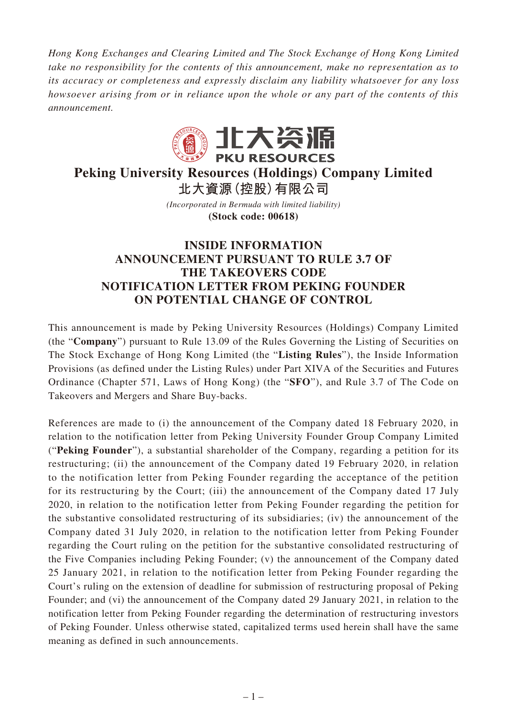*Hong Kong Exchanges and Clearing Limited and The Stock Exchange of Hong Kong Limited take no responsibility for the contents of this announcement, make no representation as to its accuracy or completeness and expressly disclaim any liability whatsoever for any loss howsoever arising from or in reliance upon the whole or any part of the contents of this announcement.*



## **Peking University Resources (Holdings) Company Limited 北大資源(控股)有限公司**

*(Incorporated in Bermuda with limited liability)* **(Stock code: 00618)**

## **INSIDE INFORMATION ANNOUNCEMENT PURSUANT TO RULE 3.7 OF THE TAKEOVERS CODE NOTIFICATION LETTER FROM PEKING FOUNDER ON POTENTIAL CHANGE OF CONTROL**

This announcement is made by Peking University Resources (Holdings) Company Limited (the "**Company**") pursuant to Rule 13.09 of the Rules Governing the Listing of Securities on The Stock Exchange of Hong Kong Limited (the "**Listing Rules**"), the Inside Information Provisions (as defined under the Listing Rules) under Part XIVA of the Securities and Futures Ordinance (Chapter 571, Laws of Hong Kong) (the "**SFO**"), and Rule 3.7 of The Code on Takeovers and Mergers and Share Buy-backs.

References are made to (i) the announcement of the Company dated 18 February 2020, in relation to the notification letter from Peking University Founder Group Company Limited ("**Peking Founder**"), a substantial shareholder of the Company, regarding a petition for its restructuring; (ii) the announcement of the Company dated 19 February 2020, in relation to the notification letter from Peking Founder regarding the acceptance of the petition for its restructuring by the Court; (iii) the announcement of the Company dated 17 July 2020, in relation to the notification letter from Peking Founder regarding the petition for the substantive consolidated restructuring of its subsidiaries; (iv) the announcement of the Company dated 31 July 2020, in relation to the notification letter from Peking Founder regarding the Court ruling on the petition for the substantive consolidated restructuring of the Five Companies including Peking Founder; (v) the announcement of the Company dated 25 January 2021, in relation to the notification letter from Peking Founder regarding the Court's ruling on the extension of deadline for submission of restructuring proposal of Peking Founder; and (vi) the announcement of the Company dated 29 January 2021, in relation to the notification letter from Peking Founder regarding the determination of restructuring investors of Peking Founder. Unless otherwise stated, capitalized terms used herein shall have the same meaning as defined in such announcements.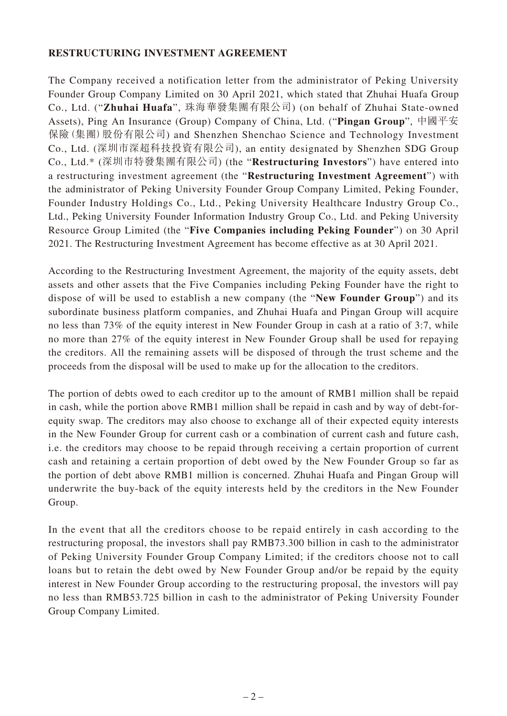## **RESTRUCTURING INVESTMENT AGREEMENT**

The Company received a notification letter from the administrator of Peking University Founder Group Company Limited on 30 April 2021, which stated that Zhuhai Huafa Group Co., Ltd. ("**Zhuhai Huafa**", 珠海華發集團有限公司) (on behalf of Zhuhai State-owned Assets), Ping An Insurance (Group) Company of China, Ltd. ("**Pingan Group**", 中國平安 保險(集團)股份有限公司) and Shenzhen Shenchao Science and Technology Investment Co., Ltd. (深圳市深超科技投資有限公司), an entity designated by Shenzhen SDG Group Co., Ltd.\* (深圳市特發集團有限公司) (the "**Restructuring Investors**") have entered into a restructuring investment agreement (the "**Restructuring Investment Agreement**") with the administrator of Peking University Founder Group Company Limited, Peking Founder, Founder Industry Holdings Co., Ltd., Peking University Healthcare Industry Group Co., Ltd., Peking University Founder Information Industry Group Co., Ltd. and Peking University Resource Group Limited (the "**Five Companies including Peking Founder**") on 30 April 2021. The Restructuring Investment Agreement has become effective as at 30 April 2021.

According to the Restructuring Investment Agreement, the majority of the equity assets, debt assets and other assets that the Five Companies including Peking Founder have the right to dispose of will be used to establish a new company (the "**New Founder Group**") and its subordinate business platform companies, and Zhuhai Huafa and Pingan Group will acquire no less than 73% of the equity interest in New Founder Group in cash at a ratio of 3:7, while no more than 27% of the equity interest in New Founder Group shall be used for repaying the creditors. All the remaining assets will be disposed of through the trust scheme and the proceeds from the disposal will be used to make up for the allocation to the creditors.

The portion of debts owed to each creditor up to the amount of RMB1 million shall be repaid in cash, while the portion above RMB1 million shall be repaid in cash and by way of debt-forequity swap. The creditors may also choose to exchange all of their expected equity interests in the New Founder Group for current cash or a combination of current cash and future cash, i.e. the creditors may choose to be repaid through receiving a certain proportion of current cash and retaining a certain proportion of debt owed by the New Founder Group so far as the portion of debt above RMB1 million is concerned. Zhuhai Huafa and Pingan Group will underwrite the buy-back of the equity interests held by the creditors in the New Founder Group.

In the event that all the creditors choose to be repaid entirely in cash according to the restructuring proposal, the investors shall pay RMB73.300 billion in cash to the administrator of Peking University Founder Group Company Limited; if the creditors choose not to call loans but to retain the debt owed by New Founder Group and/or be repaid by the equity interest in New Founder Group according to the restructuring proposal, the investors will pay no less than RMB53.725 billion in cash to the administrator of Peking University Founder Group Company Limited.